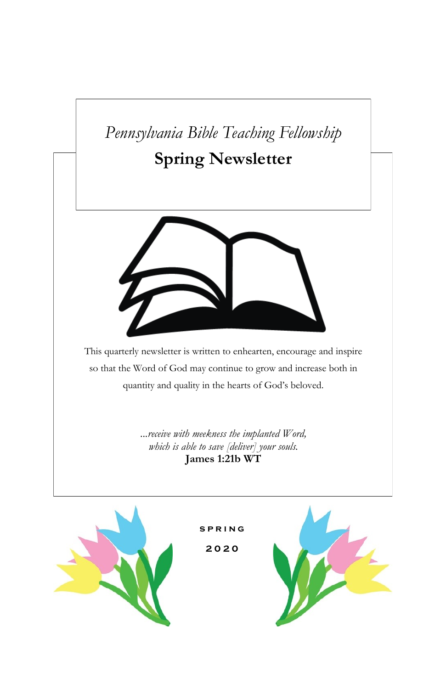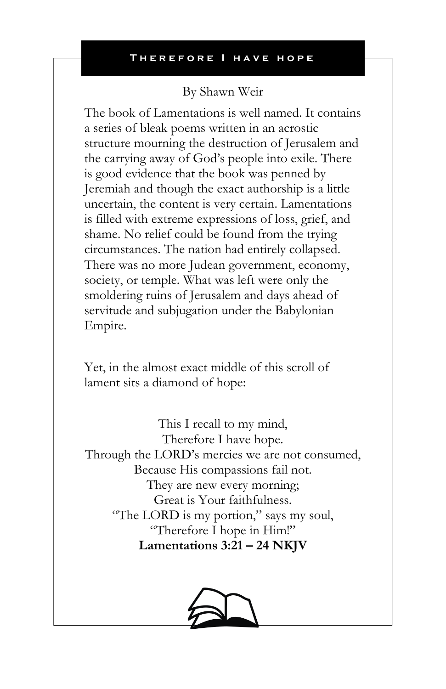## By Shawn Weir

The book of Lamentations is well named. It contains a series of bleak poems written in an acrostic structure mourning the destruction of Jerusalem and the carrying away of God's people into exile. There is good evidence that the book was penned by Jeremiah and though the exact authorship is a little uncertain, the content is very certain. Lamentations is filled with extreme expressions of loss, grief, and shame. No relief could be found from the trying circumstances. The nation had entirely collapsed. There was no more Judean government, economy, society, or temple. What was left were only the smoldering ruins of Jerusalem and days ahead of servitude and subjugation under the Babylonian Empire.

Yet, in the almost exact middle of this scroll of lament sits a diamond of hope:

This I recall to my mind, Therefore I have hope. Through the LORD's mercies we are not consumed, Because His compassions fail not. They are new every morning; Great is Your faithfulness. "The LORD is my portion," says my soul, "Therefore I hope in Him!" **Lamentations 3:21 – 24 NKJV**

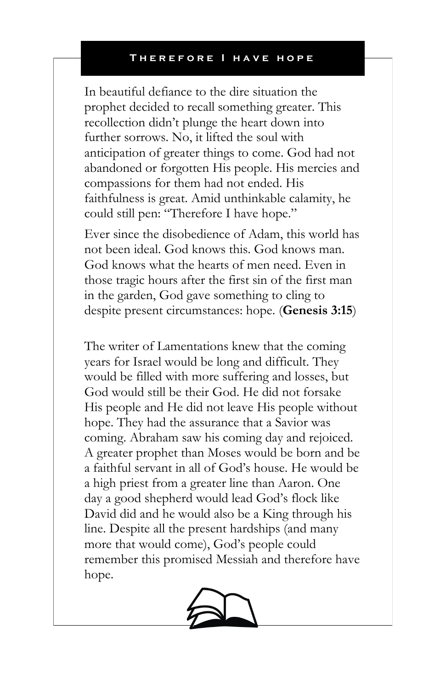In beautiful defiance to the dire situation the prophet decided to recall something greater. This recollection didn't plunge the heart down into further sorrows. No, it lifted the soul with anticipation of greater things to come. God had not abandoned or forgotten His people. His mercies and compassions for them had not ended. His faithfulness is great. Amid unthinkable calamity, he could still pen: "Therefore I have hope."

Ever since the disobedience of Adam, this world has not been ideal. God knows this. God knows man. God knows what the hearts of men need. Even in those tragic hours after the first sin of the first man in the garden, God gave something to cling to despite present circumstances: hope. (**Genesis 3:15**)

The writer of Lamentations knew that the coming years for Israel would be long and difficult. They would be filled with more suffering and losses, but God would still be their God. He did not forsake His people and He did not leave His people without hope. They had the assurance that a Savior was coming. Abraham saw his coming day and rejoiced. A greater prophet than Moses would be born and be a faithful servant in all of God's house. He would be a high priest from a greater line than Aaron. One day a good shepherd would lead God's flock like David did and he would also be a King through his line. Despite all the present hardships (and many more that would come), God's people could remember this promised Messiah and therefore have hope.

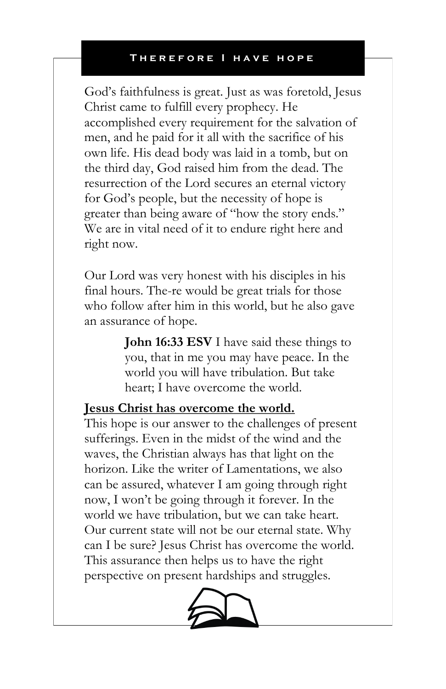God's faithfulness is great. Just as was foretold, Jesus Christ came to fulfill every prophecy. He accomplished every requirement for the salvation of men, and he paid for it all with the sacrifice of his own life. His dead body was laid in a tomb, but on the third day, God raised him from the dead. The resurrection of the Lord secures an eternal victory for God's people, but the necessity of hope is greater than being aware of "how the story ends." We are in vital need of it to endure right here and right now.

Our Lord was very honest with his disciples in his final hours. The-re would be great trials for those who follow after him in this world, but he also gave an assurance of hope.

> **John 16:33 ESV** I have said these things to you, that in me you may have peace. In the world you will have tribulation. But take heart; I have overcome the world.

### **Jesus Christ has overcome the world.**

This hope is our answer to the challenges of present sufferings. Even in the midst of the wind and the waves, the Christian always has that light on the horizon. Like the writer of Lamentations, we also can be assured, whatever I am going through right now, I won't be going through it forever. In the world we have tribulation, but we can take heart. Our current state will not be our eternal state. Why can I be sure? Jesus Christ has overcome the world. This assurance then helps us to have the right perspective on present hardships and struggles.

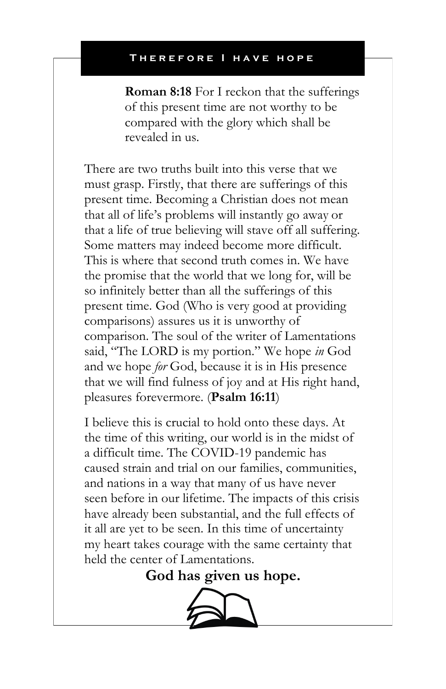**Roman 8:18** For I reckon that the sufferings of this present time are not worthy to be compared with the glory which shall be revealed in us.

There are two truths built into this verse that we must grasp. Firstly, that there are sufferings of this present time. Becoming a Christian does not mean that all of life's problems will instantly go away or that a life of true believing will stave off all suffering. Some matters may indeed become more difficult. This is where that second truth comes in. We have the promise that the world that we long for, will be so infinitely better than all the sufferings of this present time. God (Who is very good at providing comparisons) assures us it is unworthy of comparison. The soul of the writer of Lamentations said, "The LORD is my portion." We hope *in* God and we hope *for* God, because it is in His presence that we will find fulness of joy and at His right hand, pleasures forevermore. (**Psalm 16:11**)

I believe this is crucial to hold onto these days. At the time of this writing, our world is in the midst of a difficult time. The COVID-19 pandemic has caused strain and trial on our families, communities, and nations in a way that many of us have never seen before in our lifetime. The impacts of this crisis have already been substantial, and the full effects of it all are yet to be seen. In this time of uncertainty my heart takes courage with the same certainty that held the center of Lamentations.

**God has given us hope.**

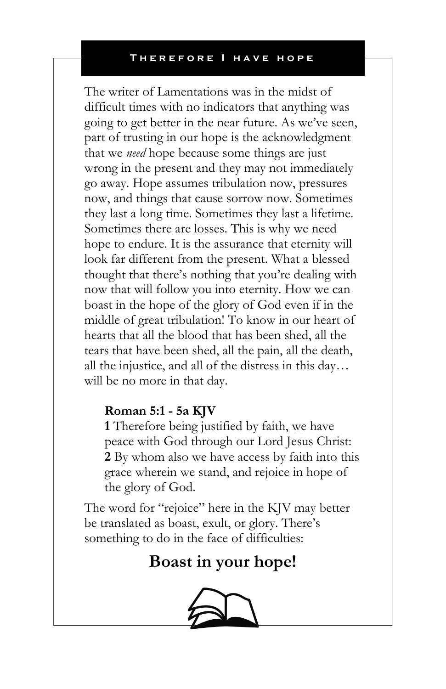The writer of Lamentations was in the midst of difficult times with no indicators that anything was going to get better in the near future. As we've seen, part of trusting in our hope is the acknowledgment that we *need* hope because some things are just wrong in the present and they may not immediately go away. Hope assumes tribulation now, pressures now, and things that cause sorrow now. Sometimes they last a long time. Sometimes they last a lifetime. Sometimes there are losses. This is why we need hope to endure. It is the assurance that eternity will look far different from the present. What a blessed thought that there's nothing that you're dealing with now that will follow you into eternity. How we can boast in the hope of the glory of God even if in the middle of great tribulation! To know in our heart of hearts that all the blood that has been shed, all the tears that have been shed, all the pain, all the death, all the injustice, and all of the distress in this day… will be no more in that day.

## **Roman 5:1 - 5a KJV**

**1** Therefore being justified by faith, we have peace with God through our Lord Jesus Christ: **2** By whom also we have access by faith into this grace wherein we stand, and rejoice in hope of the glory of God.

The word for "rejoice" here in the KJV may better be translated as boast, exult, or glory. There's something to do in the face of difficulties:

# **Boast in your hope!**

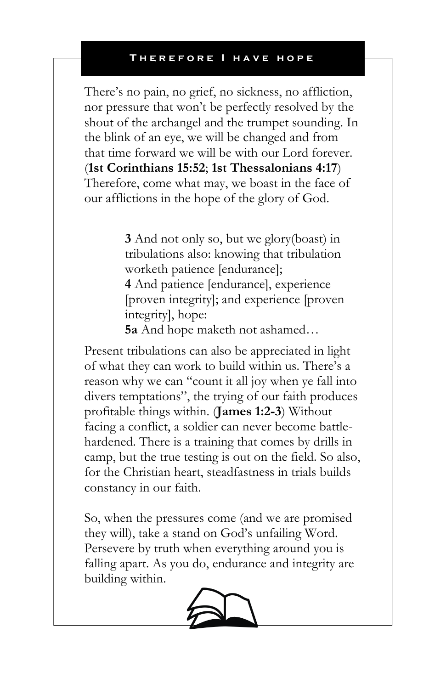There's no pain, no grief, no sickness, no affliction, nor pressure that won't be perfectly resolved by the shout of the archangel and the trumpet sounding. In the blink of an eye, we will be changed and from that time forward we will be with our Lord forever. (**1st Corinthians 15:52**; **1st Thessalonians 4:17**) Therefore, come what may, we boast in the face of our afflictions in the hope of the glory of God.

> **3** And not only so, but we glory(boast) in tribulations also: knowing that tribulation worketh patience [endurance];

**4** And patience [endurance], experience [proven integrity]; and experience [proven integrity], hope:

**5a** And hope maketh not ashamed…

Present tribulations can also be appreciated in light of what they can work to build within us. There's a reason why we can "count it all joy when ye fall into divers temptations", the trying of our faith produces profitable things within. (**James 1:2-3**) Without facing a conflict, a soldier can never become battlehardened. There is a training that comes by drills in camp, but the true testing is out on the field. So also, for the Christian heart, steadfastness in trials builds constancy in our faith.

So, when the pressures come (and we are promised they will), take a stand on God's unfailing Word. Persevere by truth when everything around you is falling apart. As you do, endurance and integrity are building within.

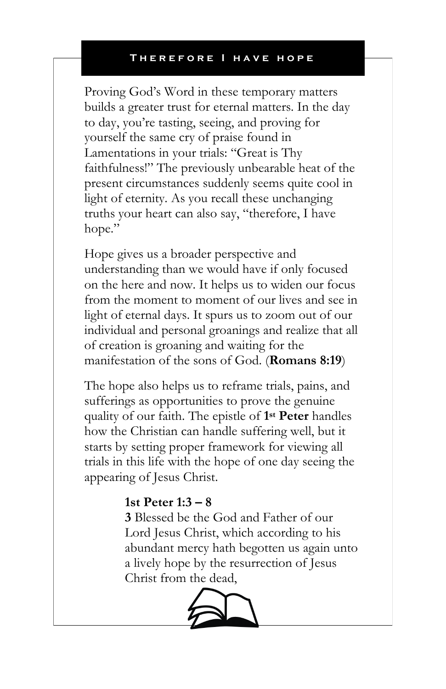Proving God's Word in these temporary matters builds a greater trust for eternal matters. In the day to day, you're tasting, seeing, and proving for yourself the same cry of praise found in Lamentations in your trials: "Great is Thy faithfulness!" The previously unbearable heat of the present circumstances suddenly seems quite cool in light of eternity. As you recall these unchanging truths your heart can also say, "therefore, I have hope."

Hope gives us a broader perspective and understanding than we would have if only focused on the here and now. It helps us to widen our focus from the moment to moment of our lives and see in light of eternal days. It spurs us to zoom out of our individual and personal groanings and realize that all of creation is groaning and waiting for the manifestation of the sons of God. (**Romans 8:19**)

The hope also helps us to reframe trials, pains, and sufferings as opportunities to prove the genuine quality of our faith. The epistle of **1 st Peter** handles how the Christian can handle suffering well, but it starts by setting proper framework for viewing all trials in this life with the hope of one day seeing the appearing of Jesus Christ.

## **1st Peter 1:3 – 8**

**3** Blessed be the God and Father of our Lord Jesus Christ, which according to his abundant mercy hath begotten us again unto a lively hope by the resurrection of Jesus Christ from the dead,

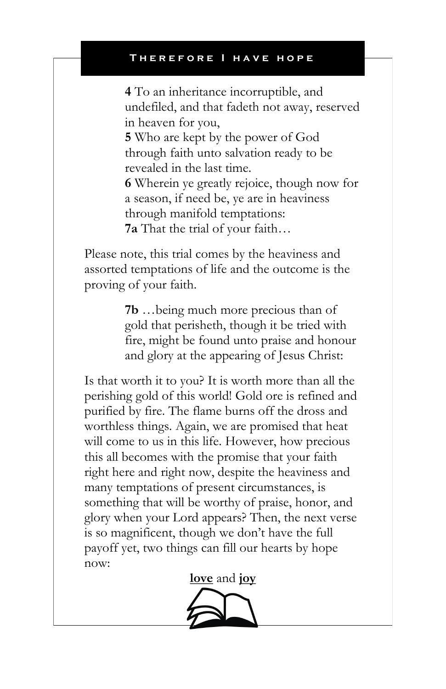**4** To an inheritance incorruptible, and undefiled, and that fadeth not away, reserved in heaven for you,

**5** Who are kept by the power of God through faith unto salvation ready to be revealed in the last time.

**6** Wherein ye greatly rejoice, though now for a season, if need be, ye are in heaviness through manifold temptations: **7a** That the trial of your faith…

Please note, this trial comes by the heaviness and assorted temptations of life and the outcome is the proving of your faith.

> **7b** …being much more precious than of gold that perisheth, though it be tried with fire, might be found unto praise and honour and glory at the appearing of Jesus Christ:

Is that worth it to you? It is worth more than all the perishing gold of this world! Gold ore is refined and purified by fire. The flame burns off the dross and worthless things. Again, we are promised that heat will come to us in this life. However, how precious this all becomes with the promise that your faith right here and right now, despite the heaviness and many temptations of present circumstances, is something that will be worthy of praise, honor, and glory when your Lord appears? Then, the next verse is so magnificent, though we don't have the full payoff yet, two things can fill our hearts by hope now:

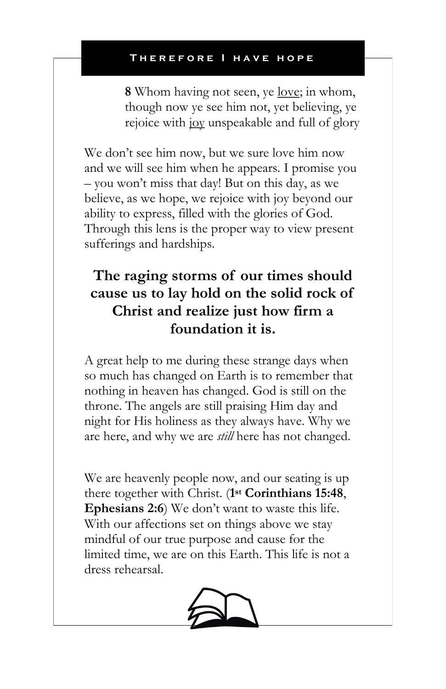**8** Whom having not seen, ye love; in whom, though now ye see him not, yet believing, ye rejoice with joy unspeakable and full of glory

We don't see him now, but we sure love him now and we will see him when he appears. I promise you – you won't miss that day! But on this day, as we believe, as we hope, we rejoice with joy beyond our ability to express, filled with the glories of God. Through this lens is the proper way to view present sufferings and hardships.

# **The raging storms of our times should cause us to lay hold on the solid rock of Christ and realize just how firm a foundation it is.**

A great help to me during these strange days when so much has changed on Earth is to remember that nothing in heaven has changed. God is still on the throne. The angels are still praising Him day and night for His holiness as they always have. Why we are here, and why we are *still* here has not changed.

We are heavenly people now, and our seating is up there together with Christ. (**1 st Corinthians 15:48**, **Ephesians 2:6**) We don't want to waste this life. With our affections set on things above we stay mindful of our true purpose and cause for the limited time, we are on this Earth. This life is not a dress rehearsal.

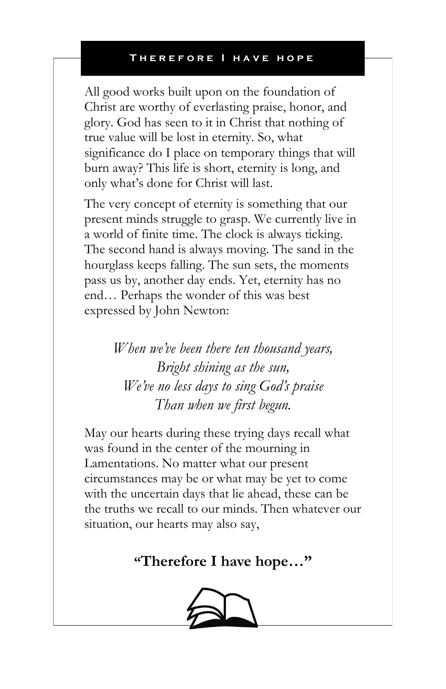All good works built upon on the foundation of Christ are worthy of everlasting praise, honor, and glory. God has seen to it in Christ that nothing of true value will be lost in eternity. So, what significance do I place on temporary things that will burn away? This life is short, eternity is long, and only what's done for Christ will last.

The very concept of eternity is something that our present minds struggle to grasp. We currently live in a world of finite time. The clock is always ticking. The second hand is always moving. The sand in the hourglass keeps falling. The sun sets, the moments pass us by, another day ends. Yet, eternity has no end… Perhaps the wonder of this was best expressed by John Newton:

> *When we've been there ten thousand years, Bright shining as the sun, We've no less days to sing God's praise Than when we first begun.*

May our hearts during these trying days recall what was found in the center of the mourning in Lamentations. No matter what our present circumstances may be or what may be yet to come with the uncertain days that lie ahead, these can be the truths we recall to our minds. Then whatever our situation, our hearts may also say,

# **"Therefore I have hope…"**